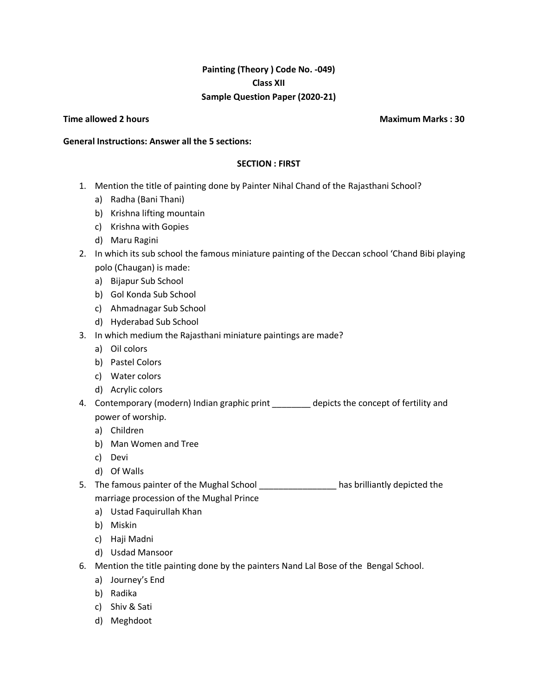# **Painting (Theory ) Code No. -049) Class XII Sample Question Paper (2020-21)**

### **Time allowed 2 hours and the set of the set of the set of the Maximum Marks : 30**

# **General Instructions: Answer all the 5 sections:**

## **SECTION : FIRST**

- 1. Mention the title of painting done by Painter Nihal Chand of the Rajasthani School?
	- a) Radha (Bani Thani)
	- b) Krishna lifting mountain
	- c) Krishna with Gopies
	- d) Maru Ragini
- 2. In which its sub school the famous miniature painting of the Deccan school 'Chand Bibi playing polo (Chaugan) is made:
	- a) Bijapur Sub School
	- b) Gol Konda Sub School
	- c) Ahmadnagar Sub School
	- d) Hyderabad Sub School
- 3. In which medium the Rajasthani miniature paintings are made?
	- a) Oil colors
	- b) Pastel Colors
	- c) Water colors
	- d) Acrylic colors
- 4. Contemporary (modern) Indian graphic print \_\_\_\_\_\_\_\_ depicts the concept of fertility and power of worship.
	- a) Children
	- b) Man Women and Tree
	- c) Devi
	- d) Of Walls
- 5. The famous painter of the Mughal School \_\_\_\_\_\_\_\_\_\_\_\_\_\_\_\_\_\_\_has brilliantly depicted the marriage procession of the Mughal Prince
	- a) Ustad Faquirullah Khan
	- b) Miskin
	- c) Haji Madni
	- d) Usdad Mansoor
- 6. Mention the title painting done by the painters Nand Lal Bose of the Bengal School.
	- a) Journey's End
	- b) Radika
	- c) Shiv & Sati
	- d) Meghdoot